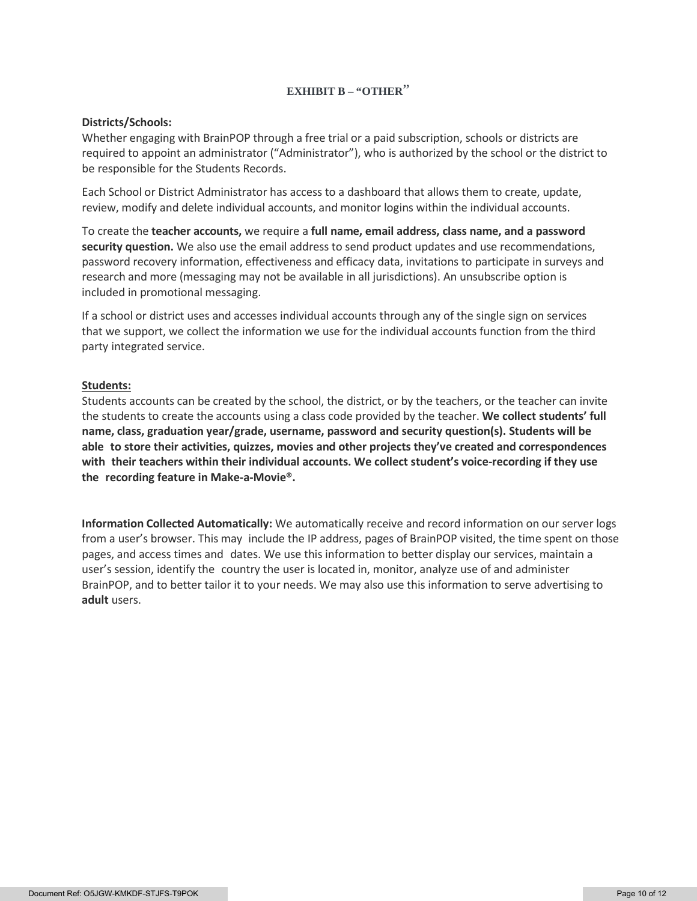# **EXHIBIT B – "OTHER**"

### **Districts/Schools:**

Whether engaging with BrainPOP through a free trial or a paid subscription, schools or districts are required to appoint an administrator ("Administrator"), who is authorized by the school or the district to be responsible for the Students Records.

Each School or District Administrator has access to a dashboard that allows them to create, update, review, modify and delete individual accounts, and monitor logins within the individual accounts.

To create the **teacher accounts,** we require a **full name, email address, class name, and a password security question.** We also use the email address to send product updates and use recommendations, password recovery information, effectiveness and efficacy data, invitations to participate in surveys and research and more (messaging may not be available in all jurisdictions). An unsubscribe option is included in promotional messaging.

If a school or district uses and accesses individual accounts through any of the single sign on services that we support, we collect the information we use for the individual accounts function from the third party integrated service.

### **Students:**

Students accounts can be created by the school, the district, or by the teachers, or the teacher can invite the students to create the accounts using a class code provided by the teacher. **We collect students' full name, class, graduation year/grade, username, password and security question(s). Students will be able to store their activities, quizzes, movies and other projects they've created and correspondences with their teachers within their individual accounts. We collect student's voice-recording if they use the recording feature in Make-a-Movie®.**

**Information Collected Automatically:** We automatically receive and record information on our server logs from a user's browser. This may include the IP address, pages of BrainPOP visited, the time spent on those pages, and access times and dates. We use this information to better display our services, maintain a user's session, identify the country the user is located in, monitor, analyze use of and administer BrainPOP, and to better tailor it to your needs. We may also use this information to serve advertising to **adult** users.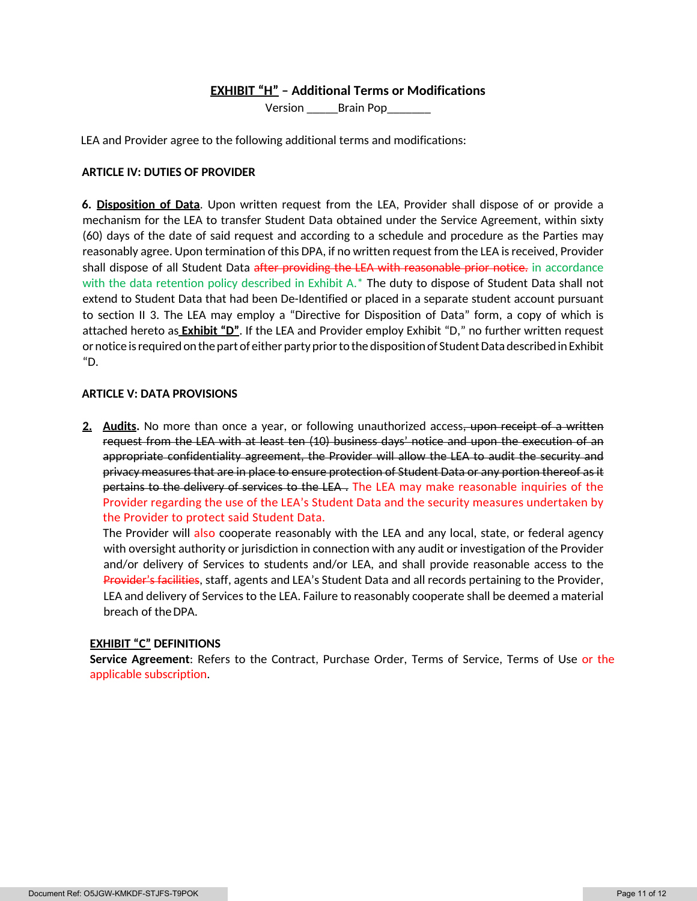# **EXHIBIT "H" – Additional Terms or Modifications**

Version \_\_\_\_\_Brain Pop\_\_\_\_\_\_\_

LEA and Provider agree to the following additional terms and modifications:

## **ARTICLE IV: DUTIES OF PROVIDER**

**6. Disposition of Data**. Upon written request from the LEA, Provider shall dispose of or provide a mechanism for the LEA to transfer Student Data obtained under the Service Agreement, within sixty (60) days of the date of said request and according to a schedule and procedure as the Parties may reasonably agree. Upon termination of this DPA, if no written request from the LEA is received, Provider shall dispose of all Student Data after providing the LEA with reasonable prior notice. in accordance with the data retention policy described in Exhibit A.\* The duty to dispose of Student Data shall not extend to Student Data that had been De-Identified or placed in a separate student account pursuant to section II 3. The LEA may employ a "Directive for Disposition of Data" form, a copy of which is attached hereto as **Exhibit "D"**. If the LEA and Provider employ Exhibit "D," no further written request or notice is required on the part of either party prior to the disposition of Student Data described in Exhibit "D.

#### **ARTICLE V: DATA PROVISIONS**

2. Audits. No more than once a year, or following unauthorized access, upon receipt of a written request from the LEA with at least ten (10) business days' notice and upon the execution of an appropriate confidentiality agreement, the Provider will allow the LEA to audit the security and privacy measures that are in place to ensure protection of Student Data or any portion thereof as it pertains to the delivery of services to the LEA. The LEA may make reasonable inquiries of the Provider regarding the use of the LEA's Student Data and the security measures undertaken by the Provider to protect said Student Data.

The Provider will also cooperate reasonably with the LEA and any local, state, or federal agency with oversight authority or jurisdiction in connection with any audit or investigation of the Provider and/or delivery of Services to students and/or LEA, and shall provide reasonable access to the Provider's facilities, staff, agents and LEA's Student Data and all records pertaining to the Provider, LEA and delivery of Services to the LEA. Failure to reasonably cooperate shall be deemed a material breach of the DPA.

### **EXHIBIT "C" DEFINITIONS**

**Service Agreement**: Refers to the Contract, Purchase Order, Terms of Service, Terms of Use or the applicable subscription.